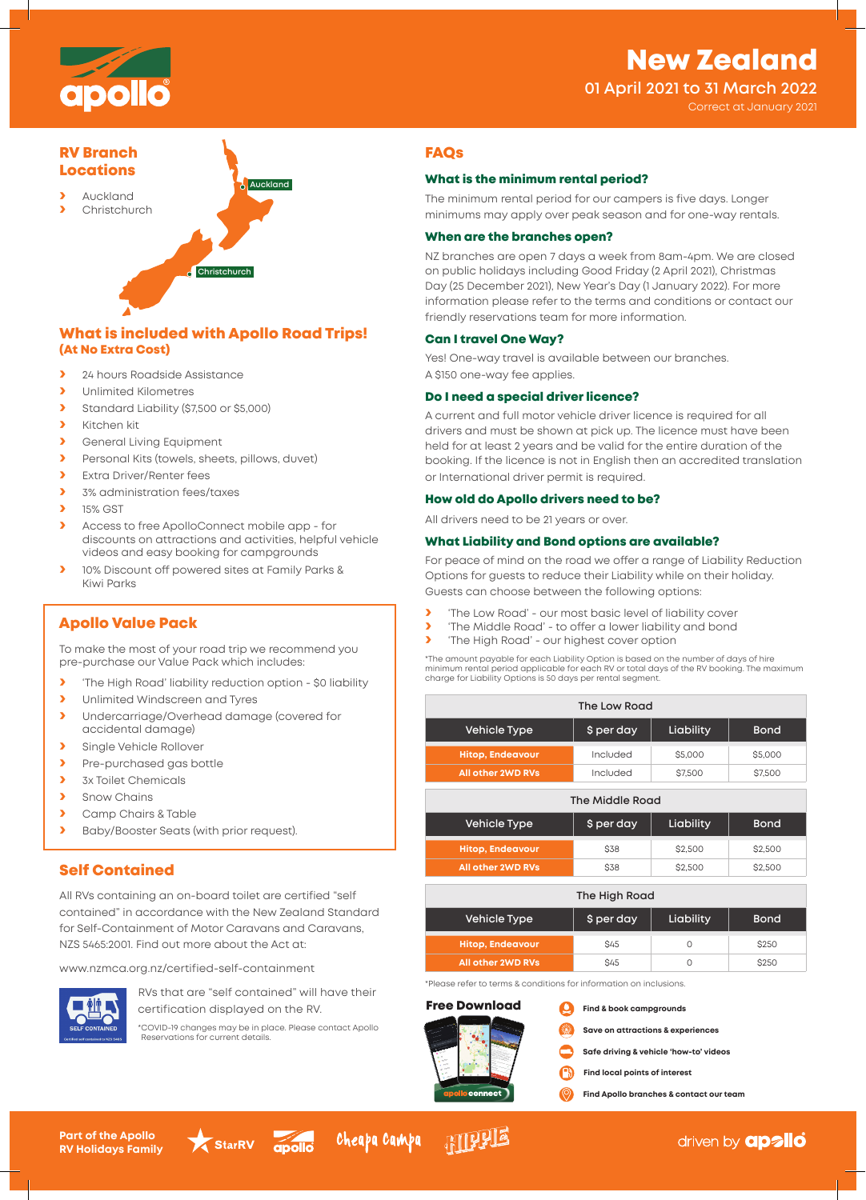# New Zealand



## **01 April 2021 to 31 March 2022**

Correct at January 2021

# RV Branch Locations

**›** Auckland **›** Christchurch

**Christch** 

**Auckland**

# What is included with Apollo Road Trips! (At No Extra Cost)

- **›** 24 hours Roadside Assistance
- **›** Unlimited Kilometres
- **›** Standard Liability (\$7,500 or \$5,000)
- **›** Kitchen kit
- **›** General Living Equipment
- **›** Personal Kits (towels, sheets, pillows, duvet)
- **›** Extra Driver/Renter fees
- **›** 3% administration fees/taxes
- **›** 15% GST
- **›** Access to free ApolloConnect mobile app for discounts on attractions and activities, helpful vehicle videos and easy booking for campgrounds
- **›** 10% Discount off powered sites at Family Parks & Kiwi Parks

## Apollo Value Pack

To make the most of your road trip we recommend you pre-purchase our Value Pack which includes:

- **›** 'The High Road' liability reduction option \$0 liability
- **›** Unlimited Windscreen and Tyres
- **›** Undercarriage/Overhead damage (covered for accidental damage)
- **›** Single Vehicle Rollover **›** Pre-purchased gas bottle
- **›** 3x Toilet Chemicals
- **›** Snow Chains
- **›** Camp Chairs & Table
- **›** Baby/Booster Seats (with prior request).

## Self Contained

All RVs containing an on-board toilet are certified "self contained" in accordance with the New Zealand Standard for Self-Containment of Motor Caravans and Caravans, NZS 5465:2001. Find out more about the Act at:

www.nzmca.org.nz/certified-self-containment



RVs that are "self contained" will have their certification displayed on the RV.

\*COVID-19 changes may be in place. Please contact Apollo Reservations for current details.



### What is the minimum rental period?

The minimum rental period for our campers is five days. Longer minimums may apply over peak season and for one-way rentals.

## When are the branches open?

NZ branches are open 7 days a week from 8am-4pm. We are closed on public holidays including Good Friday (2 April 2021), Christmas Day (25 December 2021), New Year's Day (1 January 2022). For more information please refer to the terms and conditions or contact our friendly reservations team for more information.

### Can I travel One Way?

Yes! One-way travel is available between our branches. A \$150 one-way fee applies.

### Do I need a special driver licence?

A current and full motor vehicle driver licence is required for all drivers and must be shown at pick up. The licence must have been held for at least 2 years and be valid for the entire duration of the booking. If the licence is not in English then an accredited translation or International driver permit is required.

#### How old do Apollo drivers need to be?

All drivers need to be 21 years or over.

### What Liability and Bond options are available?

For peace of mind on the road we offer a range of Liability Reduction Options for guests to reduce their Liability while on their holiday. Guests can choose between the following options:

- **›** 'The Low Road' our most basic level of liability cover
- **›** 'The Middle Road' to offer a lower liability and bond<br> **›** 'The High Road' our highest cover option
- **›** 'The High Road' our highest cover option

\*The amount payable for each Liability Option is based on the number of days of hire minimum rental period applicable for each RV or total days of the RV booking. The maximum minimum rental period applicable for each RV or total days of the RV booking. The maximum charge for Liability Options is 50 days per rental segment.

| The Low Road             |                         |           |             |  |  |  |  |  |
|--------------------------|-------------------------|-----------|-------------|--|--|--|--|--|
| <b>Vehicle Type</b>      | \$ per day<br>Liability |           | <b>Bond</b> |  |  |  |  |  |
| <b>Hitop, Endeavour</b>  | Included                | \$5,000   | \$5,000     |  |  |  |  |  |
| <b>All other 2WD RVs</b> | Included                | \$7,500   | \$7,500     |  |  |  |  |  |
| The Middle Road          |                         |           |             |  |  |  |  |  |
| <b>Vehicle Type</b>      | \$ per day              | Liability | <b>Bond</b> |  |  |  |  |  |
| <b>Hitop, Endeavour</b>  | <b>S38</b>              | \$2,500   | \$2,500     |  |  |  |  |  |
| <b>All other 2WD RVs</b> | <b>S38</b>              | \$2,500   | \$2,500     |  |  |  |  |  |

| The High Road            |            |           |              |  |  |  |  |  |
|--------------------------|------------|-----------|--------------|--|--|--|--|--|
| <b>Vehicle Type</b>      | \$ per day | Liability | <b>Bond</b>  |  |  |  |  |  |
| <b>Hitop, Endeavour</b>  | <b>S45</b> |           | <b>\$250</b> |  |  |  |  |  |
| <b>All other 2WD RVs</b> | S45        |           | <b>\$250</b> |  |  |  |  |  |

\*Please refer to terms & conditions for information on inclusions.

## Free Download



- **Save on attractions & experiences**
- **Safe driving & vehicle 'how-to' videos**
- A **Find local points of interest**
- **Find Apollo branches & contact our team**

**Part of the Apollo RV Holidays Family**





**ATTLE** 

driven by **apallo**